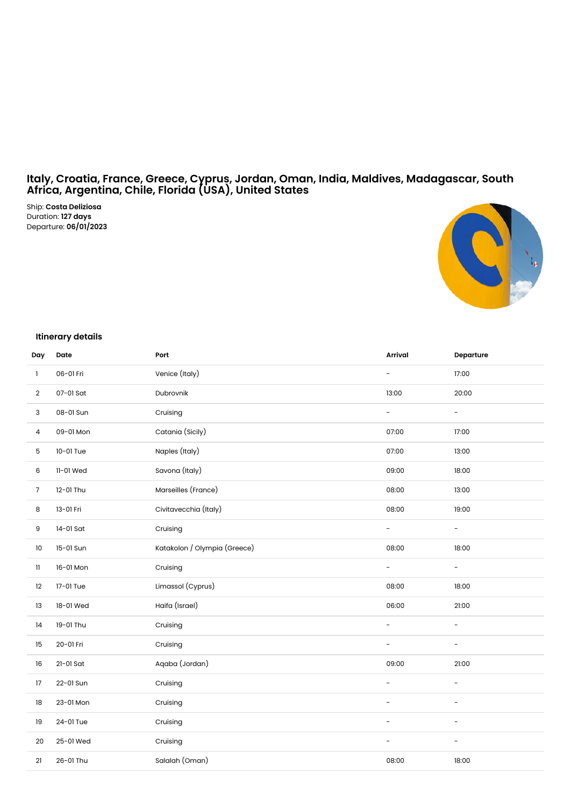## **Italy, Croatia, France, Greece, Cyprus, Jordan, Oman, India, Maldives, Madagascar, South Africa, Argentina, Chile, Florida (USA), United States**

Ship: **Costa Deliziosa** Duration: **127 days** Departure: **06/01/2023**



## **Itinerary details**

| Day            | Date      | Port                         | Arrival                  | Departure                |
|----------------|-----------|------------------------------|--------------------------|--------------------------|
| $\mathbf{1}$   | 06-01 Fri | Venice (Italy)               | $\overline{\phantom{a}}$ | 17:00                    |
| $\overline{2}$ | 07-01 Sat | Dubrovnik                    | 13:00                    | 20:00                    |
| 3              | 08-01 Sun | Cruising                     | $\overline{\phantom{a}}$ | $\equiv$                 |
| 4              | 09-01 Mon | Catania (Sicily)             | 07:00                    | 17:00                    |
| 5              | 10-01 Tue | Naples (Italy)               | 07:00                    | 13:00                    |
| 6              | 11-01 Wed | Savona (Italy)               | 09:00                    | 18:00                    |
| $\overline{7}$ | 12-01 Thu | Marseilles (France)          | 08:00                    | 13:00                    |
| 8              | 13-01 Fri | Civitavecchia (Italy)        | 08:00                    | 19:00                    |
| 9              | 14-01 Sat | Cruising                     | $\overline{\phantom{a}}$ | $\overline{\phantom{a}}$ |
| 10             | 15-01 Sun | Katakolon / Olympia (Greece) | 08:00                    | 18:00                    |
| $\mathbf{I}$   | 16-01 Mon | Cruising                     | $\overline{\phantom{a}}$ | $\overline{\phantom{a}}$ |
| 12             | 17-01 Tue | Limassol (Cyprus)            | 08:00                    | 18:00                    |
| 13             | 18-01 Wed | Haifa (Israel)               | 06:00                    | 21:00                    |
| 14             | 19-01 Thu | Cruising                     | $\overline{\phantom{a}}$ | $\overline{\phantom{a}}$ |
| 15             | 20-01 Fri | Cruising                     | $\overline{\phantom{a}}$ | $\overline{\phantom{a}}$ |
| 16             | 21-01 Sat | Aqaba (Jordan)               | 09:00                    | 21:00                    |
| 17             | 22-01 Sun | Cruising                     | $\overline{\phantom{a}}$ | $\overline{\phantom{a}}$ |
| 18             | 23-01 Mon | Cruising                     | $\overline{\phantom{a}}$ | $\overline{\phantom{a}}$ |
| 19             | 24-01 Tue | Cruising                     | $\overline{\phantom{a}}$ | $\overline{\phantom{a}}$ |
| 20             | 25-01 Wed | Cruising                     | $\overline{\phantom{a}}$ | $\overline{\phantom{a}}$ |
| 21             | 26-01 Thu | Salalah (Oman)               | 08:00                    | 18:00                    |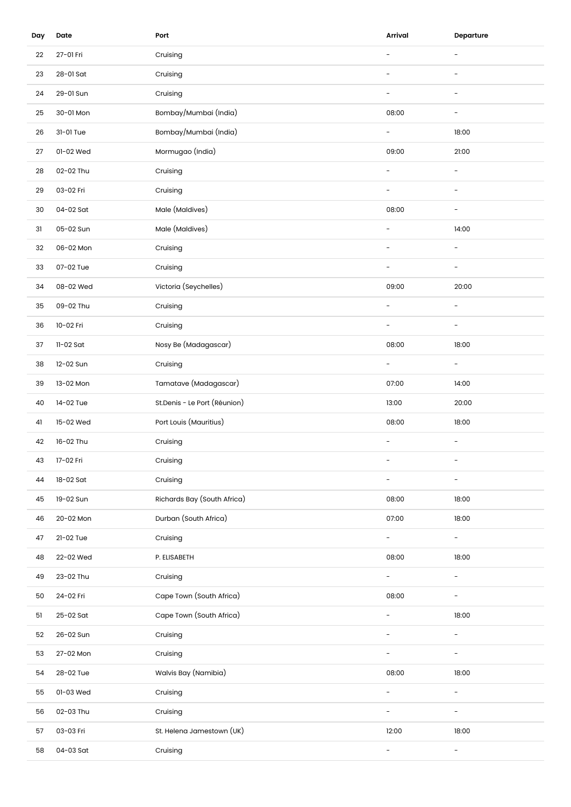| Day | Date      | Port                         | Arrival                  | Departure                |
|-----|-----------|------------------------------|--------------------------|--------------------------|
| 22  | 27-01 Fri | Cruising                     | $\qquad \qquad -$        | $\overline{\phantom{a}}$ |
| 23  | 28-01 Sat | Cruising                     | $\overline{\phantom{a}}$ | $\overline{a}$           |
| 24  | 29-01 Sun | Cruising                     | $\overline{\phantom{a}}$ | $\overline{\phantom{a}}$ |
| 25  | 30-01 Mon | Bombay/Mumbai (India)        | 08:00                    | $\overline{\phantom{a}}$ |
| 26  | 31-01 Tue | Bombay/Mumbai (India)        | $\overline{\phantom{a}}$ | 18:00                    |
| 27  | 01-02 Wed | Mormugao (India)             | 09:00                    | 21:00                    |
| 28  | 02-02 Thu | Cruising                     | $\overline{\phantom{a}}$ | $\overline{\phantom{a}}$ |
| 29  | 03-02 Fri | Cruising                     | $\overline{\phantom{a}}$ | $\overline{\phantom{a}}$ |
| 30  | 04-02 Sat | Male (Maldives)              | 08:00                    | $\overline{\phantom{a}}$ |
| 31  | 05-02 Sun | Male (Maldives)              | $\overline{\phantom{a}}$ | 14:00                    |
| 32  | 06-02 Mon | Cruising                     | $\overline{a}$           | $\qquad \qquad -$        |
| 33  | 07-02 Tue | Cruising                     |                          | $\qquad \qquad -$        |
| 34  | 08-02 Wed | Victoria (Seychelles)        | 09:00                    | 20:00                    |
| 35  | 09-02 Thu | Cruising                     | $\overline{\phantom{0}}$ | $\overline{a}$           |
| 36  | 10-02 Fri | Cruising                     | $\overline{\phantom{a}}$ | $\overline{\phantom{a}}$ |
| 37  | 11-02 Sat | Nosy Be (Madagascar)         | 08:00                    | 18:00                    |
| 38  | 12-02 Sun | Cruising                     | $\overline{\phantom{a}}$ | $\overline{\phantom{a}}$ |
| 39  | 13-02 Mon | Tamatave (Madagascar)        | 07:00                    | 14:00                    |
| 40  | 14-02 Tue | St.Denis - Le Port (Réunion) | 13:00                    | 20:00                    |
| 41  | 15-02 Wed | Port Louis (Mauritius)       | 08:00                    | 18:00                    |
| 42  | 16-02 Thu | Cruising                     | $\overline{\phantom{a}}$ | $\overline{\phantom{a}}$ |
| 43  | 17-02 Fri | Cruising                     |                          |                          |
| 44  | 18-02 Sat | Cruising                     |                          | $\overline{a}$           |
| 45  | 19-02 Sun | Richards Bay (South Africa)  | 08:00                    | 18:00                    |
| 46  | 20-02 Mon | Durban (South Africa)        | 07:00                    | 18:00                    |
| 47  | 21-02 Tue | Cruising                     | $\overline{\phantom{a}}$ | $\overline{\phantom{a}}$ |
| 48  | 22-02 Wed | P. ELISABETH                 | 08:00                    | 18:00                    |
| 49  | 23-02 Thu | Cruising                     | $\overline{\phantom{a}}$ | $\overline{\phantom{0}}$ |
| 50  | 24-02 Fri | Cape Town (South Africa)     | 08:00                    | $\qquad \qquad -$        |
| 51  | 25-02 Sat | Cape Town (South Africa)     | $\overline{\phantom{a}}$ | 18:00                    |
| 52  | 26-02 Sun | Cruising                     | $\overline{a}$           | $\overline{a}$           |
| 53  | 27-02 Mon | Cruising                     | $\qquad \qquad -$        | $\overline{\phantom{a}}$ |
| 54  | 28-02 Tue | Walvis Bay (Namibia)         | 08:00                    | 18:00                    |
| 55  | 01-03 Wed | Cruising                     | $\overline{\phantom{a}}$ | $\overline{\phantom{a}}$ |
| 56  | 02-03 Thu | Cruising                     | $\overline{\phantom{a}}$ | $\overline{\phantom{a}}$ |
| 57  | 03-03 Fri | St. Helena Jamestown (UK)    | 12:00                    | 18:00                    |
| 58  | 04-03 Sat | Cruising                     | $\overline{\phantom{a}}$ | $\overline{\phantom{a}}$ |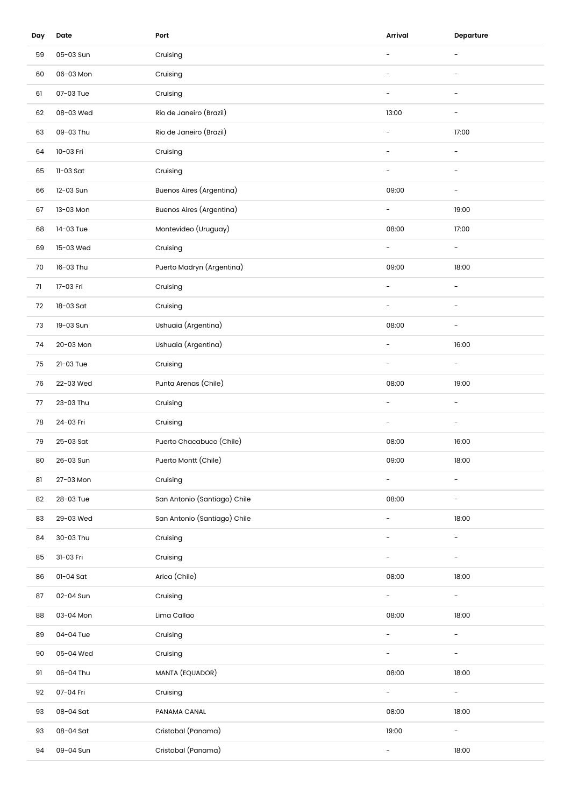| Day | Date        | Port                            | Arrival                  | Departure                |
|-----|-------------|---------------------------------|--------------------------|--------------------------|
| 59  | 05-03 Sun   | Cruising                        | $\qquad \qquad -$        | $\qquad \qquad -$        |
| 60  | 06-03 Mon   | Cruising                        | $\overline{a}$           |                          |
| 61  | 07-03 Tue   | Cruising                        | $\overline{a}$           | $\overline{\phantom{0}}$ |
| 62  | 08-03 Wed   | Rio de Janeiro (Brazil)         | 13:00                    | $\overline{\phantom{a}}$ |
| 63  | 09-03 Thu   | Rio de Janeiro (Brazil)         | $\qquad \qquad -$        | 17:00                    |
| 64  | 10-03 Fri   | Cruising                        | $\overline{a}$           | $\overline{a}$           |
| 65  | 11-03 Sat   | Cruising                        | $\overline{\phantom{a}}$ | $\qquad \qquad -$        |
| 66  | 12-03 Sun   | <b>Buenos Aires (Argentina)</b> | 09:00                    | $\qquad \qquad -$        |
| 67  | 13-03 Mon   | <b>Buenos Aires (Argentina)</b> |                          | 19:00                    |
| 68  | 14-03 Tue   | Montevideo (Uruguay)            | 08:00                    | 17:00                    |
| 69  | 15-03 Wed   | Cruising                        | $\overline{\phantom{a}}$ | $\overline{\phantom{a}}$ |
| 70  | 16-03 Thu   | Puerto Madryn (Argentina)       | 09:00                    | 18:00                    |
| 71  | 17-03 Fri   | Cruising                        | $\qquad \qquad -$        | $\overline{\phantom{a}}$ |
| 72  | 18-03 Sat   | Cruising                        | $\qquad \qquad -$        | $\overline{a}$           |
| 73  | 19-03 Sun   | Ushuaia (Argentina)             | 08:00                    | $\overline{a}$           |
| 74  | 20-03 Mon   | Ushuaia (Argentina)             | $\overline{\phantom{a}}$ | 16:00                    |
| 75  | 21-03 Tue   | Cruising                        | $\qquad \qquad -$        | $\qquad \qquad -$        |
| 76  | 22-03 Wed   | Punta Arenas (Chile)            | 08:00                    | 19:00                    |
| 77  | 23-03 Thu   | Cruising                        | $\overline{a}$           | $\qquad \qquad -$        |
| 78  | 24-03 Fri   | Cruising                        | $\overline{\phantom{a}}$ | $\overline{\phantom{a}}$ |
| 79  | 25-03 Sat   | Puerto Chacabuco (Chile)        | 08:00                    | 16:00                    |
| 80  | 26-03 Sun   | Puerto Montt (Chile)            | 09:00                    | 18:00                    |
| 81  | 27-03 Mon   | Cruising                        | $\overline{\phantom{a}}$ | $\qquad \qquad -$        |
| 82  | 28-03 Tue   | San Antonio (Santiago) Chile    | 08:00                    | $\overline{\phantom{a}}$ |
| 83  | 29-03 Wed   | San Antonio (Santiago) Chile    | $\overline{\phantom{a}}$ | 18:00                    |
| 84  | 30-03 Thu   | Cruising                        | $\overline{a}$           | $\qquad \qquad -$        |
| 85  | 31-03 Fri   | Cruising                        | $\overline{\phantom{a}}$ | $\overline{\phantom{a}}$ |
| 86  | $01-04$ Sat | Arica (Chile)                   | 08:00                    | 18:00                    |
| 87  | 02-04 Sun   | Cruising                        | $\overline{\phantom{a}}$ | $\overline{\phantom{a}}$ |
| 88  | 03-04 Mon   | Lima Callao                     | 08:00                    | 18:00                    |
| 89  | 04-04 Tue   | Cruising                        | $\overline{\phantom{a}}$ | $\overline{\phantom{a}}$ |
| 90  | 05-04 Wed   | Cruising                        | $\overline{\phantom{a}}$ | $\qquad \qquad =$        |
| 91  | 06-04 Thu   | MANTA (EQUADOR)                 | 08:00                    | 18:00                    |
| 92  | 07-04 Fri   | Cruising                        | $\overline{\phantom{a}}$ | $\equiv$                 |
| 93  | 08-04 Sat   | PANAMA CANAL                    | 08:00                    | 18:00                    |
| 93  | 08-04 Sat   | Cristobal (Panama)              | 19:00                    | $\overline{\phantom{a}}$ |
| 94  | 09-04 Sun   | Cristobal (Panama)              | $\overline{\phantom{0}}$ | 18:00                    |